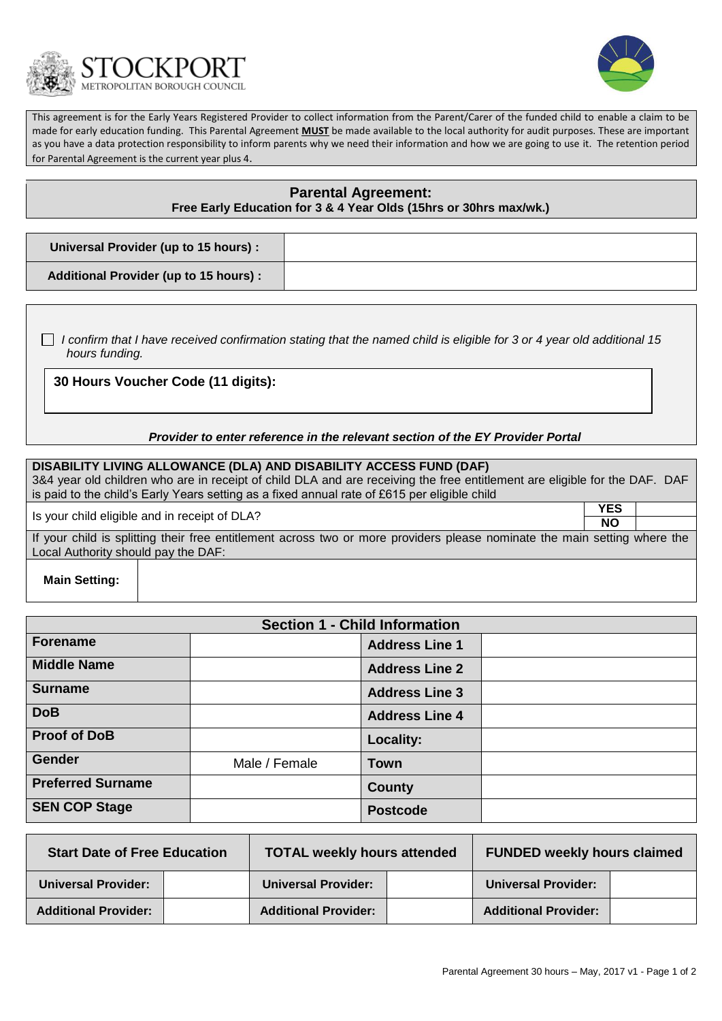



This agreement is for the Early Years Registered Provider to collect information from the Parent/Carer of the funded child to enable a claim to be made for early education funding. This Parental Agreement **MUST** be made available to the local authority for audit purposes. These are important as you have a data protection responsibility to inform parents why we need their information and how we are going to use it. The retention period for Parental Agreement is the current year plus 4.

# **Parental Agreement: Free Early Education for 3 & 4 Year Olds (15hrs or 30hrs max/wk.)**

| Universal Provider (up to 15 hours) :        |  |
|----------------------------------------------|--|
| <b>Additional Provider (up to 15 hours):</b> |  |

 *I confirm that I have received confirmation stating that the named child is eligible for 3 or 4 year old additional 15 hours funding.*

**30 Hours Voucher Code (11 digits):**

### *Provider to enter reference in the relevant section of the EY Provider Portal*

## **DISABILITY LIVING ALLOWANCE (DLA) AND DISABILITY ACCESS FUND (DAF)** 3&4 year old children who are in receipt of child DLA and are receiving the free entitlement are eligible for the DAF. DAF is paid to the child's Early Years setting as a fixed annual rate of £615 per eligible child

Is your child eligible and in receipt of DLA? **YES**

**NO** If your child is splitting their free entitlement across two or more providers please nominate the main setting where the Local Authority should pay the DAF:

**Main Setting:**

| <b>Section 1 - Child Information</b> |               |                       |  |
|--------------------------------------|---------------|-----------------------|--|
| <b>Forename</b>                      |               | <b>Address Line 1</b> |  |
| <b>Middle Name</b>                   |               | <b>Address Line 2</b> |  |
| <b>Surname</b>                       |               | <b>Address Line 3</b> |  |
| <b>DoB</b>                           |               | <b>Address Line 4</b> |  |
| <b>Proof of DoB</b>                  |               | Locality:             |  |
| <b>Gender</b>                        | Male / Female | <b>Town</b>           |  |
| <b>Preferred Surname</b>             |               | County                |  |
| <b>SEN COP Stage</b>                 |               | <b>Postcode</b>       |  |

| <b>Start Date of Free Education</b> |  | <b>TOTAL weekly hours attended</b> | <b>FUNDED weekly hours claimed</b> |  |
|-------------------------------------|--|------------------------------------|------------------------------------|--|
| <b>Universal Provider:</b>          |  | <b>Universal Provider:</b>         | <b>Universal Provider:</b>         |  |
| <b>Additional Provider:</b>         |  | <b>Additional Provider:</b>        | <b>Additional Provider:</b>        |  |